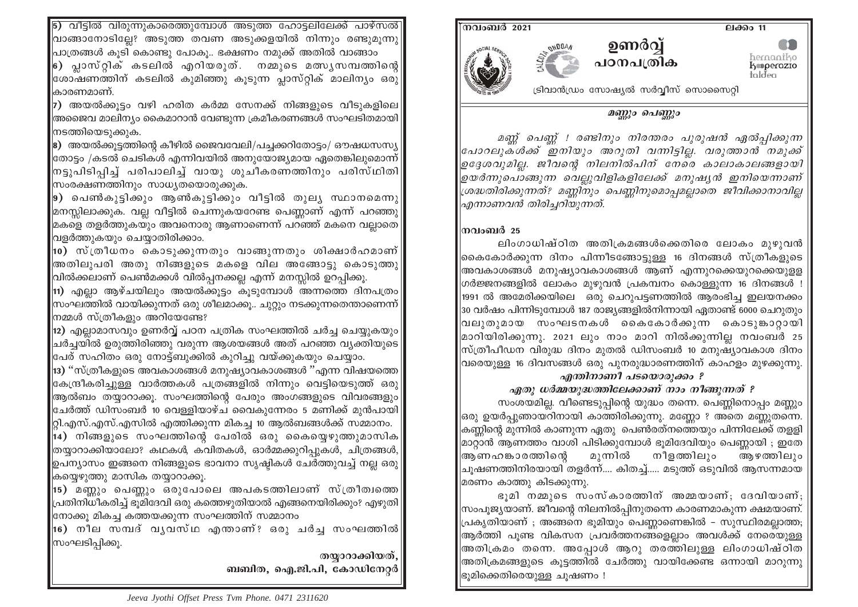<mark>5) വീട്ടിൽ വിരുന്നുകാരെത്തുമ്പോൾ അടുത്ത ഹോട്ടലിലേക്ക് പാഴ്സൽ</mark> വാങ്ങാനോടില്ലേ? അടുത്ത തവണ അടുക്കളയിൽ നിന്നും രണ്ടുമുന്നു $\vert$ പാത്രങ്ങൾ കൂടി കൊണ്ടു പോകൂ.. ഭക്ഷണം നമുക്ക് അതിൽ വാങ്ങാം

∣6) പ്ലാസ്റ്റിക് കടലിൽ എറിയരുത്. നമ്മുടെ മത്സൃസമ്പത്തിന്റെ∫ |<br>ഭശാഷണത്തിന് കടലിൽ കുമിഞ്ഞു കൂടുന്ന പ്ലാസ്റ്റിക് മാലിന്യം ഒരു കാരണമാണ്.

7) അയൽക്കുട്ടം വഴി ഹരിത കർമ്മ സേനക്ക് നിങ്ങളുടെ വീടുകളിലെ .<br>അജൈവ മാലിന\ം കൈമാറാൻ വേണ്ടുന്ന ക്രമീകരണങ്ങൾ സംഘടിതമായി നടത്തിയെടുക്കുക.

8) അയൽക്കുട്ടത്തിന്റെ കീഴിൽ ജൈവവേലി/പച്ചക്കറിതോട്ടം/ ഔഷധസസ്യ .<br>തോട്ടം /കടൽ ചെടികൾ എന്നിവയിൽ അനുയോജ്യമായ ഏതെങ്കിലൂമൊന്ന് .<br>തട്ടുപിടിപ്പിച്ച് പരിപാലിച്ച് വായു ശുചീകരണത്തിനും പരിസ്ഥിതി<sup>|</sup> സംരക്ഷണത്തിനും സാധ്യതയൊരുക്കുക.

|9) പെൺകുട്ടിക്കും ആൺകുട്ടിക്കും വീട്ടിൽ തുല്യ സ്ഥാനമെന്നു മനസ്സിലാക്കുക. വല്ല വീട്ടിൽ ചെന്നുകയറേണ്ട പെണ്ണാണ് എന്ന് പറഞ്ഞു മകളെ തളർത്തുകയും അവനൊരു ആണാണെന്ന് പറഞ്ഞ് മകനെ വല്ലാതെ വളർത്തുകയും ചെയ്യാതിരിക്കാം.

|10) സ്ത്രീധനം കൊടുക്കുന്നതും വാങ്ങുന്നതും ശിക്ഷാർഹമാണ് അതിലുപരി അതു നിങ്ങളുടെ മകളെ വില അങ്ങോടു കൊടുത്തു .<br>വിൽക്കലാണ് പെൺമക്കൾ വിൽപ്പനക്കല്ല എന്ന് മനസ്സിൽ ഉറപ്പിക്കു.

11) എല്ലാ ആഴ്ചയിലും അയൽക്കുട്ടം കുടുമ്പോൾ അന്നത്തെ ദിനപത്രം സംഘത്തിൽ വായിക്കുന്നത് ഒരു ശീലമാക്കു.. ചുറ്റും നടക്കുന്നതെന്താണെന്ന് നമ്മൾ സ്ത്രീകളും അറിയേണ്ടേ?

12) എല്ലാമാസവും ഉണർവ്വ് പഠന പത്രിക സംഘത്തിൽ ചർച്ച ചെയ്യുകയും ചർച്ചയിൽ ഉരുത്തിരിഞ്ഞു വരുന്ന ആശയങ്ങൾ അത് പറഞ്ഞ വ്യക്തിയുടെ .<br>ഭപര് സഹിതം ഒരു നോട്ബുക്കിൽ കുറിച്ചു വയ്ക്കുകയും ചെയ്യാം.

 $|$ 13) ''സ്ത്രീകളുടെ അവകാശങ്ങൾ മനുഷ്യാവകാശങ്ങൾ ''എന്ന വിഷയത്തെ $|$ കേന്ദ്രീകരിച്ചുള്ള വാർത്തകൾ പത്രങ്ങളിൽ നിന്നും വെട്ടിയെടുത്ത് ഒരു ആൽബം തയ്യാറാക്കു. സംഘത്തിന്റെ പേരും അംഗങ്ങളുടെ വിവരങ്ങളും ഭചർത്ത് ഡിസംബർ 10 വെള്ളിയാഴ്ച വൈകുന്നേരം 5 മണിക്ക് മുൻപായി റ്റി.എസ്.എസ്.എസിൽ എത്തിക്കുന്ന മികച്ച 10 ആൽബങ്ങൾക്ക് സമ്മാനം. 14) നിങ്ങളുടെ സംഘത്തിന്റെ പേരിൽ ഒരു കൈയ്യെഴുത്തുമാസിക

തയ്യാറാക്കിയാലോ? കഥകൾ, കവിതകൾ, ഓർമ്മക്കുറിപ്പുകൾ, ചിത്രങ്ങൾ, ഉപന്യാസം ഇങ്ങനെ നിങ്ങളുടെ ഭാവനാ സൃഷ്ടികൾ ചേർത്തുവച്ച് നല്ല ഒരു കയ്യെഴുത്തു മാസിക തയ്യാറാക്കു.

15) മണ്ണും പെണ്ണും ഒരുപോലെ അപകടത്തിലാണ് സ്ത്രീത്വത്തെ പ്രതിനിധീകരിച്ച് ഭുമിദേവി ഒരു കത്തെഴുതിയാൽ എങ്ങനെയിരിക്കും? എഴുതി ത്രോക്കൂ മികച്ച കത്തയക്കുന്ന സംഘത്തിന് സമ്മാനം

16) നീല സമ്പദ് വൃവസ്ഥ എന്താണ്? ഒരു ചർച്ച സംഘത്തിൽ സംഘടിപ്പിക്കു.

> തയാറാക്കിയത്. ബബിത, ഐ.ജി.പി, കോഡിനേറ്റർ



# മണ്ണും പെണ്ണും

മണ്ണ് പെണ്ണ് ! രണ്ടിനും നിരന്തരം പുരുഷൻ ഏൽപ്പിക്കുന്ന |പോറലുക്ൾക്ക് ഇനിയും അറുതി വന്നിട്ടില. വരുത്താൻ നമുക്ക് ഉദേശവുമില്ല. ജീവന്റെ നിലനിൽപിന് നേരെ കാലാകാലങ്ങളായി ഉയർന്നുപൊങ്ങുന്ന വെല്ലുവിളികളിലേക്ക് മനുഷ്യൻ ഇനിയെന്നാണ് ശ്രദ്ധതിരിക്കുന്നത്? മണ്ണിനും പെണ്ണിനുമൊപ്പമല്ലാതെ ജീവിക്കാനാവില്ല എന്നാണവൻ തിരിച്ചറിയുന്നത്.

## നവംബർ 25

ലിംഗാധിഷ്ഠിത അതിക്രമങ്ങൾക്കെതിരെ ലോകം മുഴുവൻ |കൈകോർക്കുന്ന ദിനം പിന്നീടങ്ങോട്ടുള്ള 16 ദിനങ്ങൾ സ്ത്രീകളുടെ |അവകാശങ്ങൾ മനുഷ്യാവകാശങ്ങൾ ആണ് എന്നുറക്കെയുറക്കെയുള്ള |ഗർജ്ജനങ്ങളിൽ ലോകം മുഴുവൻ പ്രകമ്പനം കൊള്ളുന്ന 16 ദിനങ്ങൾ ! |1991 ൽ അമേരിക്കയിലെ ഒരു ചെറുപട്ടണത്തിൽ ആരംഭിച്ച ഇലയനക്കം 30 വർഷം പിന്നിടുമ്പോൾ 187 രാജ്യങ്ങളിൽനിന്നായി ഏതാണ്ട് 6000 ചെറുതും വലുതുമായ സംഘടനകൾ കൈകോർക്കുന്ന കൊടുങ്കാറായി |മാറിയിരിക്കുന്നു. 2021 ലും നാം മാറി നിൽക്കുന്നില്ല നവംബർ 25 ന്സ്ത്രീപീഡന വിരുദ്ധ ദിനം മുതൽ ഡിസംബർ 10 മനുഷ്യാവകാശ ദിനം വരെയുള്ള 16 ദിവസങ്ങൾ ഒരു പുനരുദ്ധാരണത്തിന് കാഹളം മുഴക്കുന്നു.

#### എന്തിനാണീ പടയൊരുക്കം ? ഏതു ധർമ്മയുദ്ധത്തിലേക്കാണ് നാം നീങ്ങുന്നത് ?

സംശയമില്ല. വീണ്ടെടുപ്പിന്റെ യുദ്ധം തന്നെ. പെണ്ണിനൊപ്പം മണ്ണും |ഒരു ഉയർപ്പുഞായറിനായി കാത്തിരിക്കുന്നു. മണ്ണോ ? അതെ മണ്ണുതന്നെ. ക്കണ്ണിന്റെ മുന്നിൽ കാണുന്ന ഏതു പെൺരത്നത്തെയും പിന്നിലേക്ക് തള്ളി മാറ്റാൻ ആണത്തം വാശി പിടിക്കുമ്പോൾ ഭുമിദേവിയും പെണ്ണായി ; ഇതേ |ആണഹങ്കാരത്തിന്റെ മുന്നിൽ നീളത്തിലും ആഴത്തിലും |ചുഷണത്തിനിരയായി തളർന്ന്.... കിതച്ച്..... മടുത്ത് ഒടുവിൽ ആസന്നമായ |മരണം കാത്തു കിടക്കുന്നു.

ഭൂമി നമ്മുടെ സംസ്കാരത്തിന് അമ്മയാണ്; ദേവിയാണ്; |സംപുജ്യയാണ്. ജീവന്റെ നിലനിൽപ്പിനുതന്നെ കാരണമാകുന്ന ക്ഷമയാണ്. |പ്രകൃതിയാണ് ; അങ്ങനെ ഭൂമിയും പെണ്ണാണെങ്കിൽ – സുസ്ഥിരമല്ലാത്ത; 'ആർത്തി പുണ്ട വികസന പ്രവർത്തനങ്ങളെല്ലാം അവൾക്ക് നേരെയുള്ള ∣അതിക്രമം തന്നെ. അപ്പോൾ ആറു തരത്തിലുള്ള ലിംഗാധിഷ്ഠിത |അതിക്രമങ്ങളുടെ കൂട്ടത്തിൽ ചേർത്തു വായിക്കേണ്ട ഒന്നായി മാറുന്നു ഭ്രുമിക്കെതിരെയുള്ള ചുഷണം !